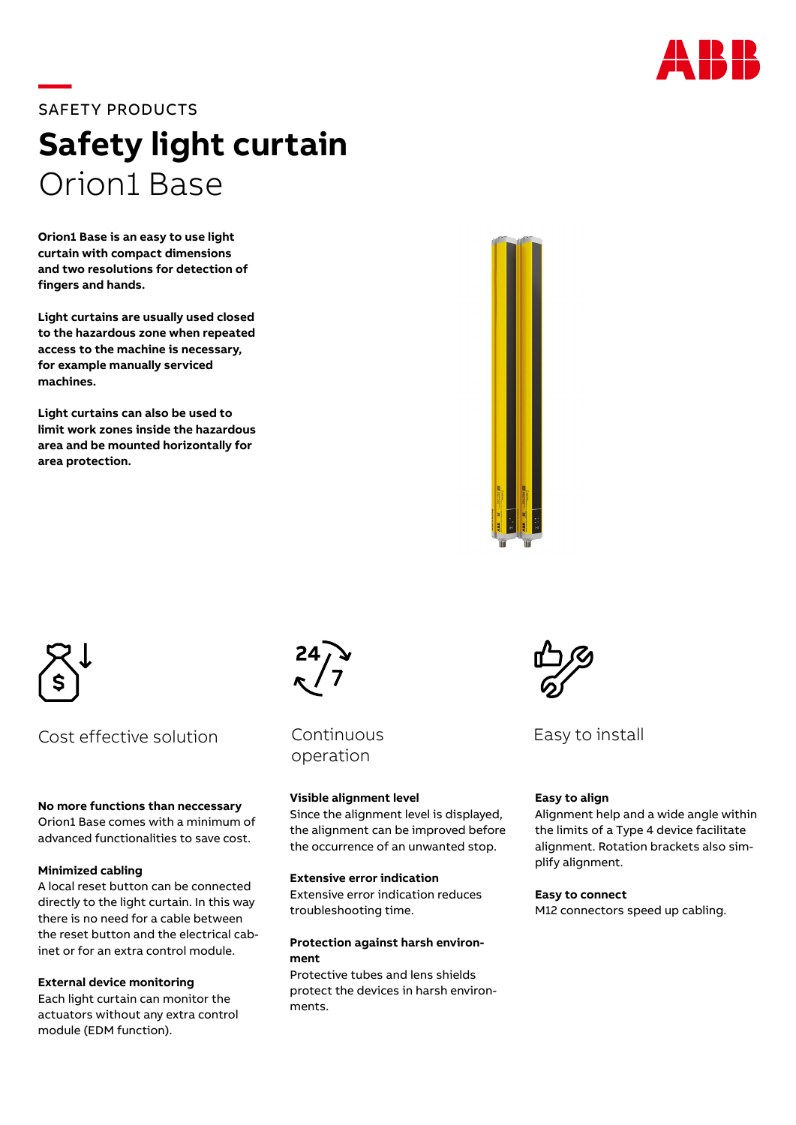

# **—**SAFETY PRODUCTS **Safety light curtain** Orion1 Base

**Orion1 Base is an easy to use light curtain with compact dimensions and two resolutions for detection of fingers and hands.** 

**Light curtains are usually used closed to the hazardous zone when repeated access to the machine is necessary, for example manually serviced machines.**

**Light curtains can also be used to limit work zones inside the hazardous area and be mounted horizontally for area protection.**





Cost effective solution

#### **No more functions than neccessary**

Orion1 Base comes with a minimum of advanced functionalities to save cost.

# **Minimized cabling**

A local reset button can be connected directly to the light curtain. In this way there is no need for a cable between the reset button and the electrical cabinet or for an extra control module.

# **External device monitoring**

Each light curtain can monitor the actuators without any extra control module (EDM function).



**Continuous** operation

# **Visible alignment level**

Since the alignment level is displayed, the alignment can be improved before the occurrence of an unwanted stop.

#### **Extensive error indication**

Extensive error indication reduces troubleshooting time.

#### **Protection against harsh environment**

Protective tubes and lens shields protect the devices in harsh environments.



Easy to install

# **Easy to align**

Alignment help and a wide angle within the limits of a Type 4 device facilitate alignment. Rotation brackets also simplify alignment.

**Easy to connect** M12 connectors speed up cabling.